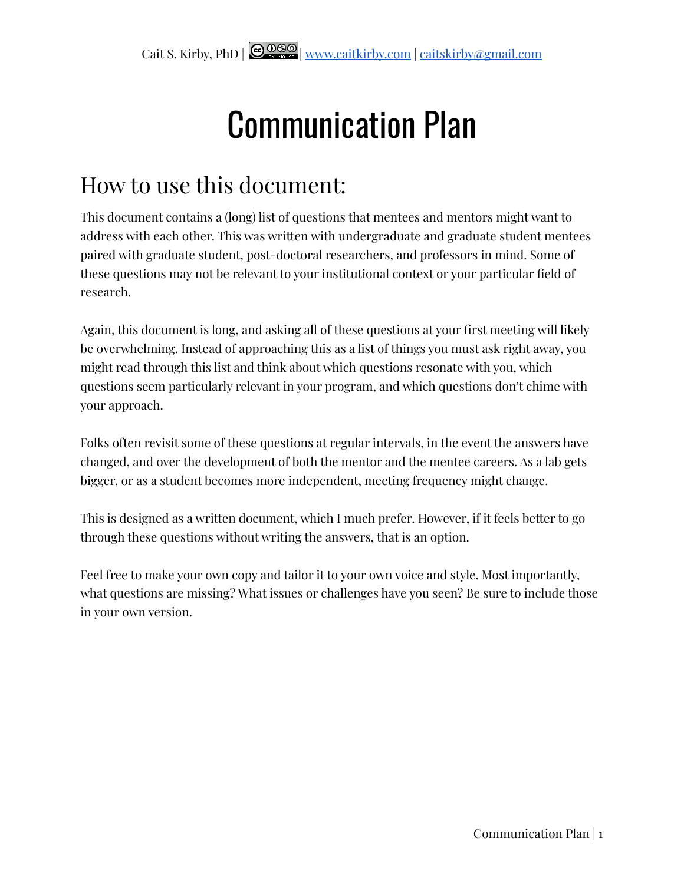# Communication Plan

# How to use this document:

This document contains a (long) list of questions that mentees and mentors might want to address with each other. This was written with undergraduate and graduate student mentees paired with graduate student, post-doctoral researchers, and professors in mind. Some of these questions may not be relevant to your institutional context or your particular field of research.

Again, this document is long, and asking all of these questions at your first meeting will likely be overwhelming. Instead of approaching this as a list of things you must ask right away, you might read through this list and think about which questions resonate with you, which questions seem particularly relevant in your program, and which questions don't chime with your approach.

Folks often revisit some of these questions at regular intervals, in the event the answers have changed, and over the development of both the mentor and the mentee careers. As a lab gets bigger, or as a student becomes more independent, meeting frequency might change.

This is designed as a written document, which I much prefer. However, if it feels better to go through these questions without writing the answers, that is an option.

Feel free to make your own copy and tailor it to your own voice and style. Most importantly, what questions are missing? What issues or challenges have you seen? Be sure to include those in your own version.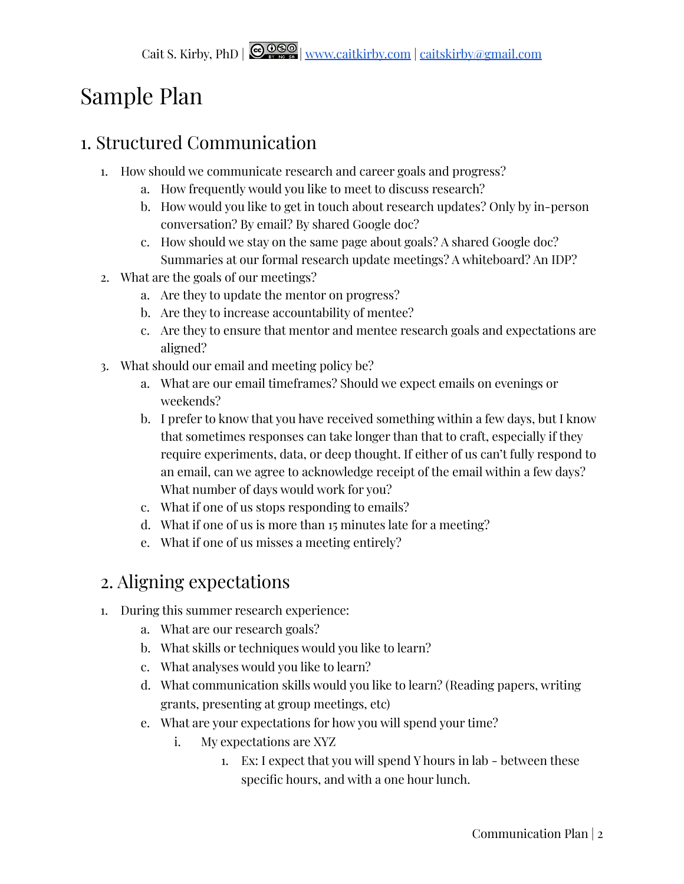# Sample Plan

#### 1. Structured Communication

- 1. How should we communicate research and career goals and progress?
	- a. How frequently would you like to meet to discuss research?
	- b. How would you like to get in touch about research updates? Only by in-person conversation? By email? By shared Google doc?
	- c. How should we stay on the same page about goals? A shared Google doc? Summaries at our formal research update meetings? A whiteboard? An IDP?
- 2. What are the goals of our meetings?
	- a. Are they to update the mentor on progress?
	- b. Are they to increase accountability of mentee?
	- c. Are they to ensure that mentor and mentee research goals and expectations are aligned?
- 3. What should our email and meeting policy be?
	- a. What are our email timeframes? Should we expect emails on evenings or weekends?
	- b. I prefer to know that you have received something within a few days, but I know that sometimes responses can take longer than that to craft, especially if they require experiments, data, or deep thought. If either of us can't fully respond to an email, can we agree to acknowledge receipt of the email within a few days? What number of days would work for you?
	- c. What if one of us stops responding to emails?
	- d. What if one of us is more than 15 minutes late for a meeting?
	- e. What if one of us misses a meeting entirely?

#### 2. Aligning expectations

- 1. During this summer research experience:
	- a. What are our research goals?
	- b. What skills or techniques would you like to learn?
	- c. What analyses would you like to learn?
	- d. What communication skills would you like to learn? (Reading papers, writing grants, presenting at group meetings, etc)
	- e. What are your expectations for how you will spend your time?
		- i. My expectations are XYZ
			- 1. Ex: I expect that you will spend Y hours in lab between these specific hours, and with a one hour lunch.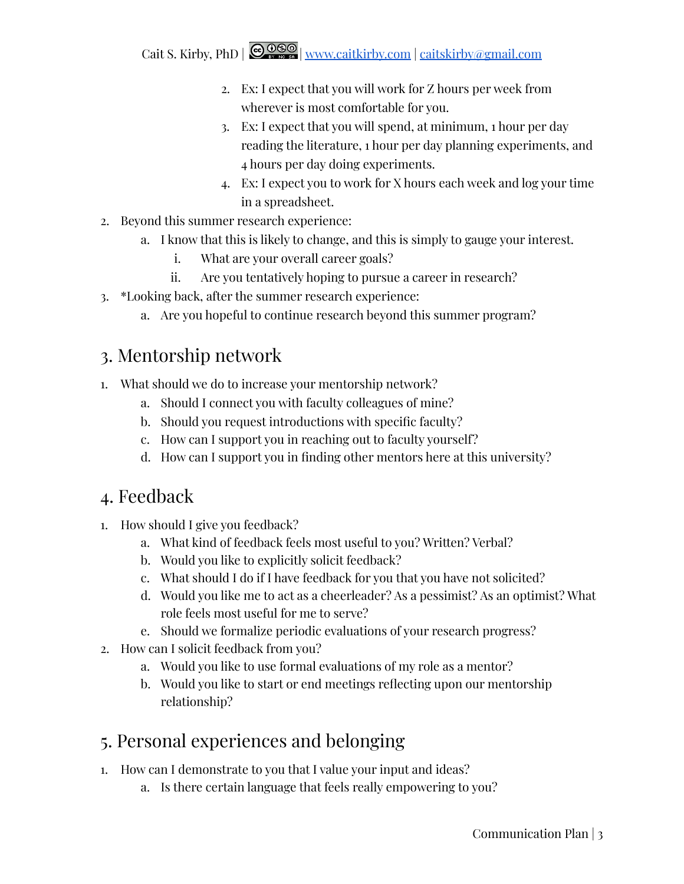Cait S. Kirby, PhD  $\left|\bigotimes_{x} \mathcal{O}\right|$  [www.caitkirby.com](http://www.caitkirby.com) | [caitskirby@gmail.com](mailto:caitskirby@gmail.com)

- 2. Ex: I expect that you will work for Z hours per week from wherever is most comfortable for you.
- 3. Ex: I expect that you will spend, at minimum, 1 hour per day reading the literature, 1 hour per day planning experiments, and 4 hours per day doing experiments.
- 4. Ex: I expect you to work for X hours each week and log your time in a spreadsheet.
- 2. Beyond this summer research experience:
	- a. I know that this is likely to change, and this is simply to gauge your interest.
		- i. What are your overall career goals?
		- ii. Are you tentatively hoping to pursue a career in research?
- 3. \*Looking back, after the summer research experience:
	- a. Are you hopeful to continue research beyond this summer program?

## 3. Mentorship network

- 1. What should we do to increase your mentorship network?
	- a. Should I connect you with faculty colleagues of mine?
	- b. Should you request introductions with specific faculty?
	- c. How can I support you in reaching out to faculty yourself?
	- d. How can I support you in finding other mentors here at this university?

## 4. Feedback

- 1. How should I give you feedback?
	- a. What kind of feedback feels most useful to you? Written? Verbal?
	- b. Would you like to explicitly solicit feedback?
	- c. What should I do if I have feedback for you that you have not solicited?
	- d. Would you like me to act as a cheerleader? As a pessimist? As an optimist? What role feels most useful for me to serve?
	- e. Should we formalize periodic evaluations of your research progress?
- 2. How can I solicit feedback from you?
	- a. Would you like to use formal evaluations of my role as a mentor?
	- b. Would you like to start or end meetings reflecting upon our mentorship relationship?

## 5. Personal experiences and belonging

- 1. How can I demonstrate to you that I value your input and ideas?
	- a. Is there certain language that feels really empowering to you?